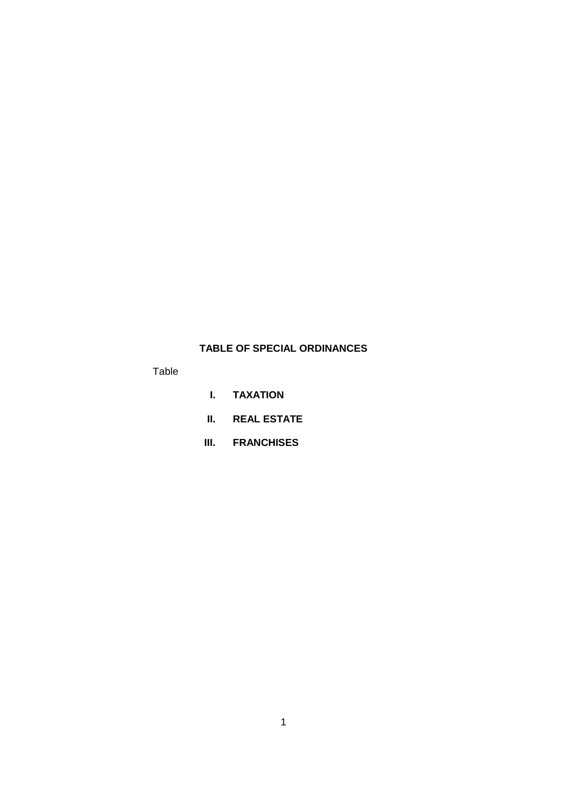## **TABLE OF SPECIAL ORDINANCES**

Table

- **I. TAXATION**
- **II. REAL ESTATE**
- **III. FRANCHISES**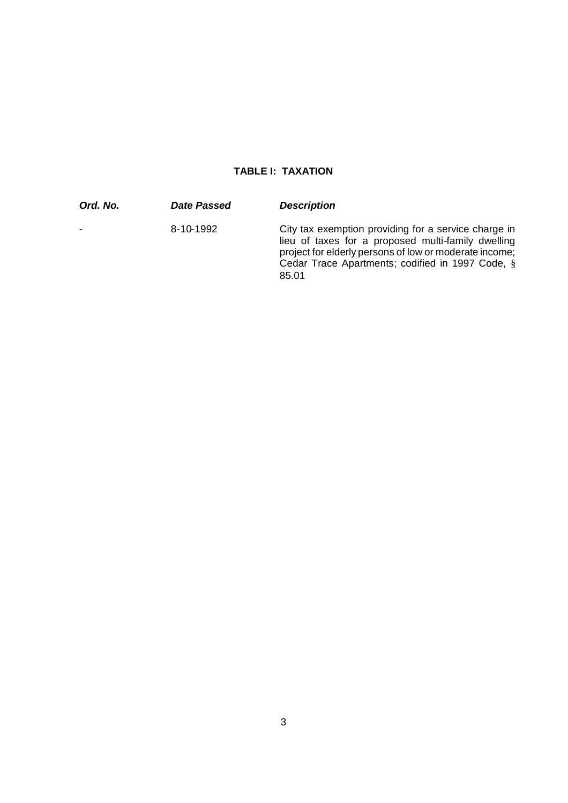## **TABLE I: TAXATION**

| Ord. No. | Date Passed | <b>Description</b>                                                                                                                                                                                                                |
|----------|-------------|-----------------------------------------------------------------------------------------------------------------------------------------------------------------------------------------------------------------------------------|
|          | 8-10-1992   | City tax exemption providing for a service charge in<br>lieu of taxes for a proposed multi-family dwelling<br>project for elderly persons of low or moderate income;<br>Cedar Trace Apartments; codified in 1997 Code, §<br>85.01 |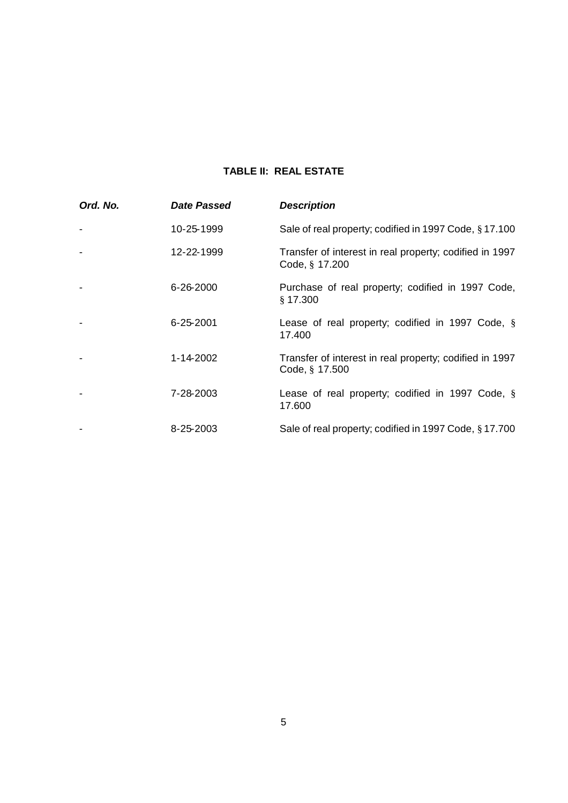## **TABLE II: REAL ESTATE**

| Ord. No. | Date Passed     | <b>Description</b>                                                        |
|----------|-----------------|---------------------------------------------------------------------------|
|          | 10-25-1999      | Sale of real property; codified in 1997 Code, §17.100                     |
|          | 12-22-1999      | Transfer of interest in real property; codified in 1997<br>Code, § 17.200 |
|          | 6-26-2000       | Purchase of real property; codified in 1997 Code,<br>§ 17.300             |
|          | $6 - 25 - 2001$ | Lease of real property; codified in 1997 Code, §<br>17.400                |
|          | 1-14-2002       | Transfer of interest in real property; codified in 1997<br>Code, § 17.500 |
|          | 7-28-2003       | Lease of real property; codified in 1997 Code, §<br>17.600                |
|          | 8-25-2003       | Sale of real property; codified in 1997 Code, §17.700                     |